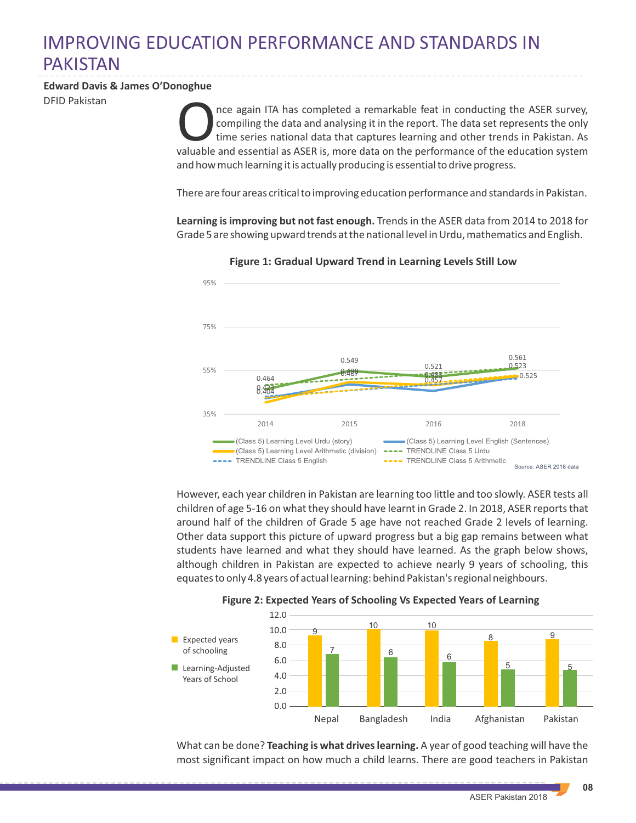## IMPROVING EDUCATION PERFORMANCE AND STANDARDS IN PAKISTAN

## **Edward Davis & James O'Donoghue**

DFID Pakistan

The again ITA has completed a remarkable feat in conducting the ASER survey, compiling the data and analysing it in the report. The data set represents the only time series national data that captures learning and other tr nce again ITA has completed a remarkable feat in conducting the ASER survey, compiling the data and analysing it in the report. The data set represents the only time series national data that captures learning and other trends in Pakistan. As and how much learning it is actually producing is essential to drive progress.

There are four areas critical to improving education performance and standards in Pakistan.

**Learning is improving but not fast enough.** Trends in the ASER data from 2014 to 2018 for Grade 5 are showing upward trends at the national level in Urdu, mathematics and English.



**Figure 1: Gradual Upward Trend in Learning Levels Still Low**

However, each year children in Pakistan are learning too little and too slowly. ASER tests all children of age 5-16 on what they should have learnt in Grade 2. In 2018, ASER reports that around half of the children of Grade 5 age have not reached Grade 2 levels of learning. Other data support this picture of upward progress but a big gap remains between what students have learned and what they should have learned. As the graph below shows, although children in Pakistan are expected to achieve nearly 9 years of schooling, this equates to only 4.8 years of actual learning: behind Pakistan's regional neighbours.



## **Figure 2: Expected Years of Schooling Vs Expected Years of Learning**

What can be done? **Teaching is what drives learning.** A year of good teaching will have the most significant impact on how much a child learns. There are good teachers in Pakistan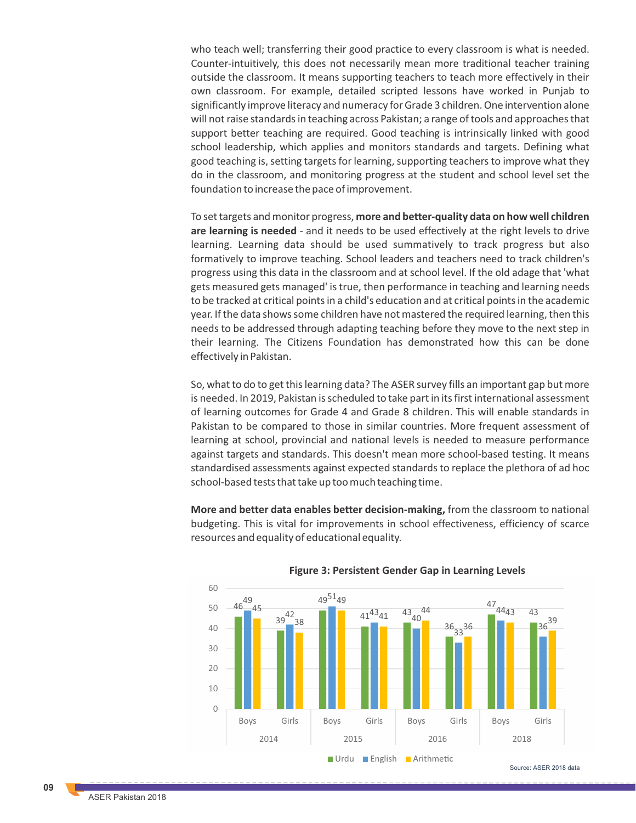who teach well; transferring their good practice to every classroom is what is needed. Counter-intuitively, this does not necessarily mean more traditional teacher training outside the classroom. It means supporting teachers to teach more effectively in their own classroom. For example, detailed scripted lessons have worked in Punjab to significantly improve literacy and numeracy for Grade 3 children. One intervention alone will not raise standards in teaching across Pakistan; a range of tools and approaches that support better teaching are required. Good teaching is intrinsically linked with good school leadership, which applies and monitors standards and targets. Defining what good teaching is, setting targets for learning, supporting teachers to improve what they do in the classroom, and monitoring progress at the student and school level set the foundation to increase the pace of improvement.

To set targets and monitor progress, **more and better-quality data on how well children are learning is needed** - and it needs to be used effectively at the right levels to drive learning. Learning data should be used summatively to track progress but also formatively to improve teaching. School leaders and teachers need to track children's progress using this data in the classroom and at school level. If the old adage that 'what gets measured gets managed' is true, then performance in teaching and learning needs to be tracked at critical points in a child's education and at critical points in the academic year. If the data shows some children have not mastered the required learning, then this needs to be addressed through adapting teaching before they move to the next step in their learning. The Citizens Foundation has demonstrated how this can be done effectively in Pakistan.

So, what to do to get this learning data? The ASER survey fills an important gap but more is needed. In 2019, Pakistan is scheduled to take part in its first international assessment of learning outcomes for Grade 4 and Grade 8 children. This will enable standards in Pakistan to be compared to those in similar countries. More frequent assessment of learning at school, provincial and national levels is needed to measure performance against targets and standards. This doesn't mean more school-based testing. It means standardised assessments against expected standards to replace the plethora of ad hoc school-based tests that take up too much teaching time.

**More and better data enables better decision-making,** from the classroom to national budgeting. This is vital for improvements in school effectiveness, efficiency of scarce resources and equality of educational equality.



## **Figure 3: Persistent Gender Gap in Learning Levels**

Source: ASER 2018 data